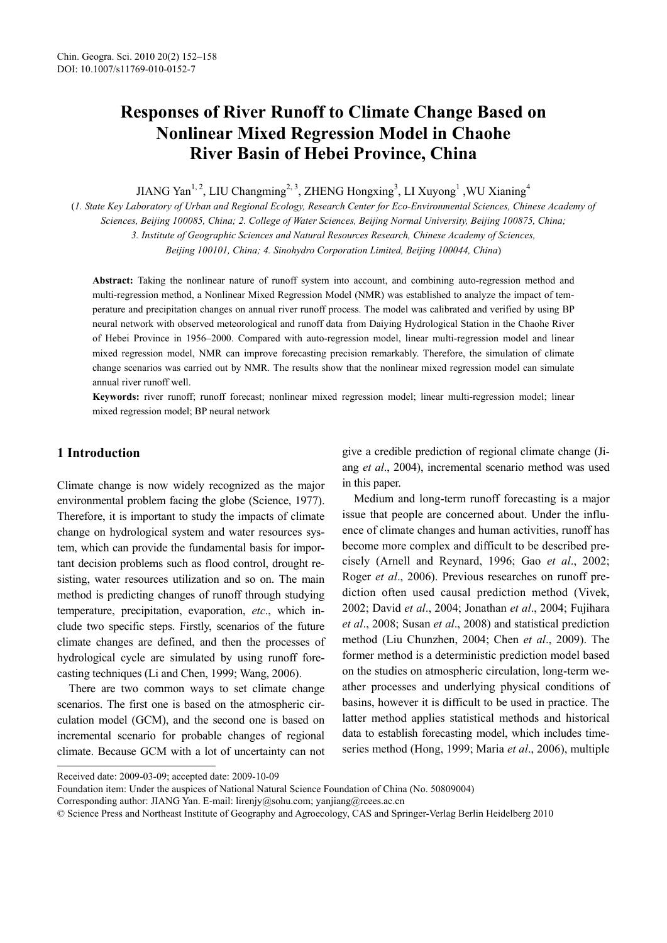# **Responses of River Runoff to Climate Change Based on Nonlinear Mixed Regression Model in Chaohe River Basin of Hebei Province, China**

JIANG Yan<sup>1, 2</sup>, LIU Changming<sup>2, 3</sup>, ZHENG Hongxing<sup>3</sup>, LI Xuyong<sup>1</sup>, WU Xianing<sup>4</sup>

(*1. State Key Laboratory of Urban and Regional Ecology, Research Center for Eco-Environmental Sciences, Chinese Academy of Sciences, Beijing 100085, China; 2. College of Water Sciences, Beijing Normal University, Beijing 100875, China; 3. Institute of Geographic Sciences and Natural Resources Research, Chinese Academy of Sciences, Beijing 100101, China; 4. Sinohydro Corporation Limited, Beijing 100044, China*)

**Abstract:** Taking the nonlinear nature of runoff system into account, and combining auto-regression method and multi-regression method, a Nonlinear Mixed Regression Model (NMR) was established to analyze the impact of temperature and precipitation changes on annual river runoff process. The model was calibrated and verified by using BP neural network with observed meteorological and runoff data from Daiying Hydrological Station in the Chaohe River of Hebei Province in 1956–2000. Compared with auto-regression model, linear multi-regression model and linear mixed regression model, NMR can improve forecasting precision remarkably. Therefore, the simulation of climate change scenarios was carried out by NMR. The results show that the nonlinear mixed regression model can simulate annual river runoff well.

**Keywords:** river runoff; runoff forecast; nonlinear mixed regression model; linear multi-regression model; linear mixed regression model; BP neural network

# **1 Introduction**

Climate change is now widely recognized as the major environmental problem facing the globe (Science, 1977). Therefore, it is important to study the impacts of climate change on hydrological system and water resources system, which can provide the fundamental basis for important decision problems such as flood control, drought resisting, water resources utilization and so on. The main method is predicting changes of runoff through studying temperature, precipitation, evaporation, *etc*., which include two specific steps. Firstly, scenarios of the future climate changes are defined, and then the processes of hydrological cycle are simulated by using runoff forecasting techniques (Li and Chen, 1999; Wang, 2006).

l There are two common ways to set climate change scenarios. The first one is based on the atmospheric circulation model (GCM), and the second one is based on incremental scenario for probable changes of regional climate. Because GCM with a lot of uncertainty can not give a credible prediction of regional climate change (Jiang *et al*., 2004), incremental scenario method was used in this paper.

Medium and long-term runoff forecasting is a major issue that people are concerned about. Under the influence of climate changes and human activities, runoff has become more complex and difficult to be described precisely (Arnell and Reynard, 1996; Gao *et al*., 2002; Roger *et al*., 2006). Previous researches on runoff prediction often used causal prediction method (Vivek, 2002; David *et al*., 2004; Jonathan *et al*., 2004; Fujihara *et al*., 2008; Susan *et al*., 2008) and statistical prediction method (Liu Chunzhen, 2004; Chen *et al*., 2009). The former method is a deterministic prediction model based on the studies on atmospheric circulation, long-term weather processes and underlying physical conditions of basins, however it is difficult to be used in practice. The latter method applies statistical methods and historical data to establish forecasting model, which includes timeseries method (Hong, 1999; Maria *et al*., 2006), multiple

Received date: 2009-03-09; accepted date: 2009-10-09

Foundation item: Under the auspices of National Natural Science Foundation of China (No. 50809004)

Corresponding author: JIANG Yan. E-mail: lirenjy@sohu.com; yanjiang@rcees.ac.cn

<sup>©</sup> Science Press and Northeast Institute of Geography and Agroecology, CAS and Springer-Verlag Berlin Heidelberg 2010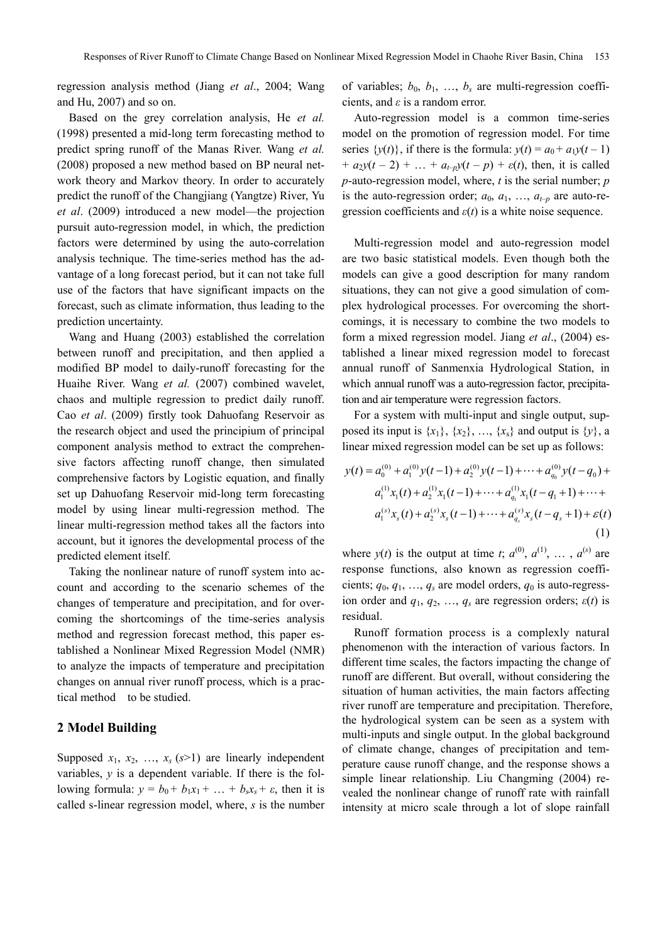regression analysis method (Jiang *et al*., 2004; Wang and Hu, 2007) and so on.

Based on the grey correlation analysis, He *et al.* (1998) presented a mid-long term forecasting method to predict spring runoff of the Manas River. Wang *et al.*  (2008) proposed a new method based on BP neural network theory and Markov theory. In order to accurately predict the runoff of the Changjiang (Yangtze) River, Yu *et al*. (2009) introduced a new model—the projection pursuit auto-regression model, in which, the prediction factors were determined by using the auto-correlation analysis technique. The time-series method has the advantage of a long forecast period, but it can not take full use of the factors that have significant impacts on the forecast, such as climate information, thus leading to the prediction uncertainty.

Wang and Huang (2003) established the correlation between runoff and precipitation, and then applied a modified BP model to daily-runoff forecasting for the Huaihe River. Wang *et al.* (2007) combined wavelet, chaos and multiple regression to predict daily runoff. Cao *et al*. (2009) firstly took Dahuofang Reservoir as the research object and used the principium of principal component analysis method to extract the comprehensive factors affecting runoff change, then simulated comprehensive factors by Logistic equation, and finally set up Dahuofang Reservoir mid-long term forecasting model by using linear multi-regression method. The linear multi-regression method takes all the factors into account, but it ignores the developmental process of the predicted element itself.

Taking the nonlinear nature of runoff system into account and according to the scenario schemes of the changes of temperature and precipitation, and for overcoming the shortcomings of the time-series analysis method and regression forecast method, this paper established a Nonlinear Mixed Regression Model (NMR) to analyze the impacts of temperature and precipitation changes on annual river runoff process, which is a practical method to be studied.

## **2 Model Building**

Supposed  $x_1, x_2, \ldots, x_s$  ( $s$ >1) are linearly independent variables, *y* is a dependent variable. If there is the following formula:  $y = b_0 + b_1x_1 + \ldots + b_sx_s + \varepsilon$ , then it is called s-linear regression model, where, *s* is the number of variables;  $b_0$ ,  $b_1$ , ...,  $b_s$  are multi-regression coefficients, and *ε* is a random error.

Auto-regression model is a common time-series model on the promotion of regression model. For time series  $\{y(t)\}\$ , if there is the formula:  $y(t) = a_0 + a_1y(t-1)$  $+ a_2y(t-2) + ... + a_{t-p}y(t-p) + \varepsilon(t)$ , then, it is called *p*-auto-regression model, where, *t* is the serial number; *p*  is the auto-regression order;  $a_0$ ,  $a_1$ , ...,  $a_{t-p}$  are auto-regression coefficients and  $\varepsilon(t)$  is a white noise sequence.

Multi-regression model and auto-regression model are two basic statistical models. Even though both the models can give a good description for many random situations, they can not give a good simulation of complex hydrological processes. For overcoming the shortcomings, it is necessary to combine the two models to form a mixed regression model. Jiang *et al*., (2004) established a linear mixed regression model to forecast annual runoff of Sanmenxia Hydrological Station, in which annual runoff was a auto-regression factor, precipitation and air temperature were regression factors.

For a system with multi-input and single output, supposed its input is  $\{x_1\}$ ,  $\{x_2\}$ , ...,  $\{x_s\}$  and output is  $\{y\}$ , a linear mixed regression model can be set up as follows:

$$
y(t) = a_0^{(0)} + a_1^{(0)}y(t-1) + a_2^{(0)}y(t-1) + \dots + a_{q_0}^{(0)}y(t-q_0) +
$$
  
\n
$$
a_1^{(1)}x_1(t) + a_2^{(1)}x_1(t-1) + \dots + a_{q_1}^{(1)}x_1(t-q_1+1) + \dots +
$$
  
\n
$$
a_1^{(s)}x_s(t) + a_2^{(s)}x_s(t-1) + \dots + a_{q_s}^{(s)}x_s(t-q_s+1) + \varepsilon(t)
$$
\n(1)

where  $y(t)$  is the output at time  $t$ ;  $a^{(0)}$ ,  $a^{(1)}$ , ...,  $a^{(s)}$  are response functions, also known as regression coefficients;  $q_0, q_1, \ldots, q_s$  are model orders,  $q_0$  is auto-regression order and  $q_1, q_2, ..., q_s$  are regression orders;  $\varepsilon(t)$  is residual.

Runoff formation process is a complexly natural phenomenon with the interaction of various factors. In different time scales, the factors impacting the change of runoff are different. But overall, without considering the situation of human activities, the main factors affecting river runoff are temperature and precipitation. Therefore, the hydrological system can be seen as a system with multi-inputs and single output. In the global background of climate change, changes of precipitation and temperature cause runoff change, and the response shows a simple linear relationship. Liu Changming (2004) revealed the nonlinear change of runoff rate with rainfall intensity at micro scale through a lot of slope rainfall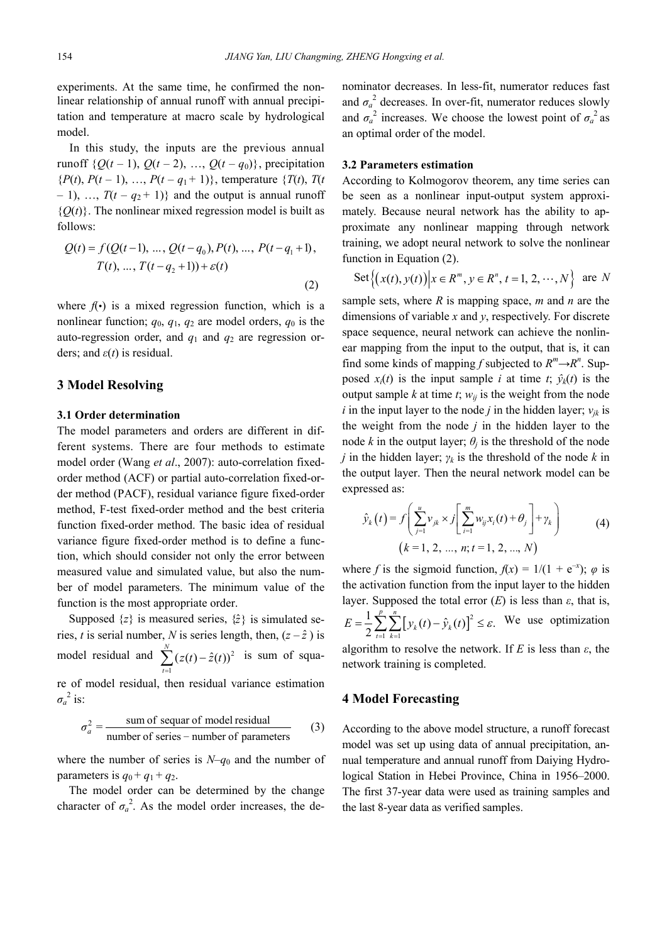experiments. At the same time, he confirmed the nonlinear relationship of annual runoff with annual precipitation and temperature at macro scale by hydrological model.

In this study, the inputs are the previous annual runoff  $\{Q(t-1), Q(t-2), \ldots, Q(t-q_0)\}\$ , precipitation  ${P(t), P(t-1), ..., P(t-q_1+1)}$ , temperature  ${T(t), T(t)}$  $-1$ , ...,  $T(t - q_2 + 1)$  and the output is annual runoff  ${Q(t)}$ . The nonlinear mixed regression model is built as follows:

$$
Q(t) = f(Q(t-1), ..., Q(t-q_0), P(t), ..., P(t-q_1+1),
$$
  
T(t), ..., T(t-q\_2+1)) + \varepsilon(t) (2)

where  $f(\cdot)$  is a mixed regression function, which is a nonlinear function;  $q_0$ ,  $q_1$ ,  $q_2$  are model orders,  $q_0$  is the auto-regression order, and  $q_1$  and  $q_2$  are regression orders; and *ε*(*t*) is residual.

## **3 Model Resolving**

#### **3.1 Order determination**

The model parameters and orders are different in different systems. There are four methods to estimate model order (Wang *et al*., 2007): auto-correlation fixedorder method (ACF) or partial auto-correlation fixed-order method (PACF), residual variance figure fixed-order method, F-test fixed-order method and the best criteria function fixed-order method. The basic idea of residual variance figure fixed-order method is to define a function, which should consider not only the error between measured value and simulated value, but also the number of model parameters. The minimum value of the function is the most appropriate order.

Supposed  $\{z\}$  is measured series,  $\{\hat{z}\}\$  is simulated series, *t* is serial number, *N* is series length, then,  $(z - \hat{z})$  is model residual and  $\sum (z(t) - \hat{z}(t))^2$ 1  $\sum_{s}^{N}( z(t) - \hat{z}(t) )$ *t*  $z(t) - \hat{z}(t)$  $\sum_{t=1}^{1} (z(t) - \hat{z}(t))^2$  is sum of square of model residual, then residual variance estimation  $\sigma_a^2$  is:

$$
\sigma_a^2 = \frac{\text{sum of sequar of model residual}}{\text{number of series} - \text{number of parameters}} \tag{3}
$$

where the number of series is  $N-q_0$  and the number of parameters is  $q_0 + q_1 + q_2$ .

The model order can be determined by the change character of  $\sigma_a^2$ . As the model order increases, the denominator decreases. In less-fit, numerator reduces fast and  $\sigma_a^2$  decreases. In over-fit, numerator reduces slowly and  $\sigma_a^2$  increases. We choose the lowest point of  $\sigma_a^2$  as an optimal order of the model.

## **3.2 Parameters estimation**

According to Kolmogorov theorem, any time series can be seen as a nonlinear input-output system approximately. Because neural network has the ability to approximate any nonlinear mapping through network training, we adopt neural network to solve the nonlinear function in Equation (2).

Set 
$$
\{(x(t), y(t)) | x \in R^m, y \in R^n, t = 1, 2, \dots, N\}
$$
 are N

sample sets, where *R* is mapping space, *m* and *n* are the dimensions of variable *x* and *y*, respectively. For discrete space sequence, neural network can achieve the nonlinear mapping from the input to the output, that is, it can find some kinds of mapping *f* subjected to  $R^m \rightarrow R^n$ . Supposed  $x_i(t)$  is the input sample *i* at time *t*;  $\hat{y}_k(t)$  is the output sample  $k$  at time  $t$ ;  $w_{ij}$  is the weight from the node *i* in the input layer to the node *j* in the hidden layer;  $v_{ik}$  is the weight from the node *j* in the hidden layer to the node *k* in the output layer;  $\theta$ <sup>*j*</sup> is the threshold of the node *j* in the hidden layer; *γk* is the threshold of the node *k* in the output layer. Then the neural network model can be expressed as:

$$
\hat{y}_k(t) = f\left(\sum_{j=1}^u v_{jk} \times j\left[\sum_{i=1}^m w_{ij} x_i(t) + \theta_j\right] + \gamma_k\right)
$$
\n
$$
(k = 1, 2, ..., n; t = 1, 2, ..., N)
$$
\n(4)

where *f* is the sigmoid function,  $f(x) = 1/(1 + e^{-x})$ ;  $\varphi$  is the activation function from the input layer to the hidden layer. Supposed the total error  $(E)$  is less than  $\varepsilon$ , that is,  $\left[ y_k(t) - \hat{y}_k(t) \right]^2$  $\frac{1}{2}\sum_{t=1}^p\sum_{k=1}^n\bigl[y_k(t)-\hat{y}_k(t)\bigr]^2\leq\varepsilon.$  $\sum_{t=1}$   $\sum_{k=1}$   $\sum_{k}$   $\binom{k}{t}$   $\sum_{k}$  $E = \frac{1}{2} \sum \sum [y_k(t) - \hat{y}_k(t)]^2 \leq \varepsilon$  $=\frac{1}{2}\sum_{t=1}^{N}\sum_{k=1}^{N} [y_k(t) - \hat{y}_k(t)]^2 \leq \varepsilon$ . We use optimization algorithm to resolve the network. If *E* is less than *ε*, the

network training is completed.

## **4 Model Forecasting**

According to the above model structure, a runoff forecast model was set up using data of annual precipitation, annual temperature and annual runoff from Daiying Hydrological Station in Hebei Province, China in 1956–2000. The first 37-year data were used as training samples and the last 8-year data as verified samples.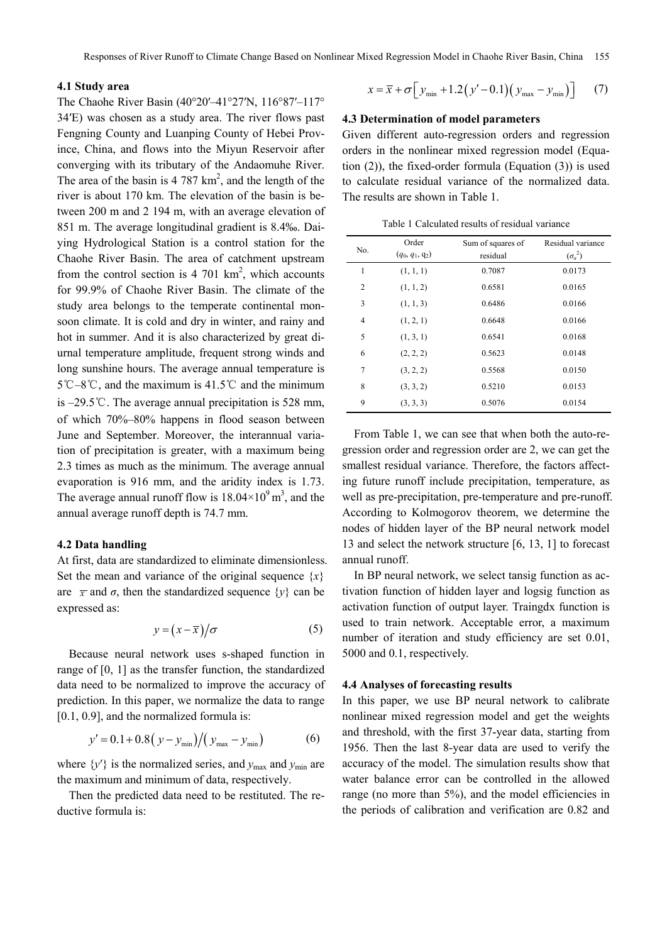#### **4.1 Study area**

The Chaohe River Basin (40°20′–41°27′N, 116°87′–117° 34′E) was chosen as a study area. The river flows past Fengning County and Luanping County of Hebei Province, China, and flows into the Miyun Reservoir after converging with its tributary of the Andaomuhe River. The area of the basin is  $4787 \text{ km}^2$ , and the length of the river is about 170 km. The elevation of the basin is between 200 m and 2 194 m, with an average elevation of 851 m. The average longitudinal gradient is 8.4‰. Daiying Hydrological Station is a control station for the Chaohe River Basin. The area of catchment upstream from the control section is 4 701  $km^2$ , which accounts for 99.9% of Chaohe River Basin. The climate of the study area belongs to the temperate continental monsoon climate. It is cold and dry in winter, and rainy and hot in summer. And it is also characterized by great diurnal temperature amplitude, frequent strong winds and long sunshine hours. The average annual temperature is 5℃–8℃, and the maximum is 41.5℃ and the minimum is –29.5℃. The average annual precipitation is 528 mm, of which 70%–80% happens in flood season between June and September. Moreover, the interannual variation of precipitation is greater, with a maximum being 2.3 times as much as the minimum. The average annual evaporation is 916 mm, and the aridity index is 1.73. The average annual runoff flow is  $18.04 \times 10^9$  m<sup>3</sup>, and the annual average runoff depth is 74.7 mm.

#### **4.2 Data handling**

At first, data are standardized to eliminate dimensionless. Set the mean and variance of the original sequence  $\{x\}$ are  $\bar{x}$  and  $\sigma$ , then the standardized sequence  $\{y\}$  can be expressed as:

$$
y = (x - \overline{x})/\sigma \tag{5}
$$

Because neural network uses s-shaped function in range of [0, 1] as the transfer function, the standardized data need to be normalized to improve the accuracy of prediction. In this paper, we normalize the data to range [0.1, 0.9], and the normalized formula is:

$$
y' = 0.1 + 0.8(y - y_{\min})/(y_{\max} - y_{\min})
$$
 (6)

where  $\{y'\}\$ is the normalized series, and  $y_{\text{max}}$  and  $y_{\text{min}}$  are the maximum and minimum of data, respectively.

Then the predicted data need to be restituted. The reductive formula is:

$$
x = \overline{x} + \sigma \left[ y_{\min} + 1.2 (y' - 0.1) (y_{\max} - y_{\min}) \right]
$$
 (7)

#### **4.3 Determination of model parameters**

Given different auto-regression orders and regression orders in the nonlinear mixed regression model (Equation (2)), the fixed-order formula (Equation (3)) is used to calculate residual variance of the normalized data. The results are shown in Table 1.

Table 1 Calculated results of residual variance

| No.            | Order<br>$(q_0, q_1, q_2)$ | Sum of squares of<br>residual | Residual variance<br>$(\sigma_a^2)$ |  |  |  |
|----------------|----------------------------|-------------------------------|-------------------------------------|--|--|--|
| $\mathbf{1}$   | (1, 1, 1)                  | 0.7087                        | 0.0173                              |  |  |  |
| $\overline{2}$ | (1, 1, 2)                  | 0.6581                        | 0.0165                              |  |  |  |
| 3              | (1, 1, 3)                  | 0.6486                        | 0.0166                              |  |  |  |
| 4              | (1, 2, 1)                  | 0.6648                        | 0.0166                              |  |  |  |
| 5              | (1, 3, 1)                  | 0.6541                        | 0.0168                              |  |  |  |
| 6              | (2, 2, 2)                  | 0.5623                        | 0.0148                              |  |  |  |
| 7              | (3, 2, 2)                  | 0.5568                        | 0.0150                              |  |  |  |
| 8              | (3, 3, 2)                  | 0.5210                        | 0.0153                              |  |  |  |
| 9              | (3, 3, 3)                  | 0.5076                        | 0.0154                              |  |  |  |

From Table 1, we can see that when both the auto-regression order and regression order are 2, we can get the smallest residual variance. Therefore, the factors affecting future runoff include precipitation, temperature, as well as pre-precipitation, pre-temperature and pre-runoff. According to Kolmogorov theorem, we determine the nodes of hidden layer of the BP neural network model 13 and select the network structure [6, 13, 1] to forecast annual runoff.

In BP neural network, we select tansig function as activation function of hidden layer and logsig function as activation function of output layer. Traingdx function is used to train network. Acceptable error, a maximum number of iteration and study efficiency are set 0.01, 5000 and 0.1, respectively.

#### **4.4 Analyses of forecasting results**

In this paper, we use BP neural network to calibrate nonlinear mixed regression model and get the weights and threshold, with the first 37-year data, starting from 1956. Then the last 8-year data are used to verify the accuracy of the model. The simulation results show that water balance error can be controlled in the allowed range (no more than 5%), and the model efficiencies in the periods of calibration and verification are 0.82 and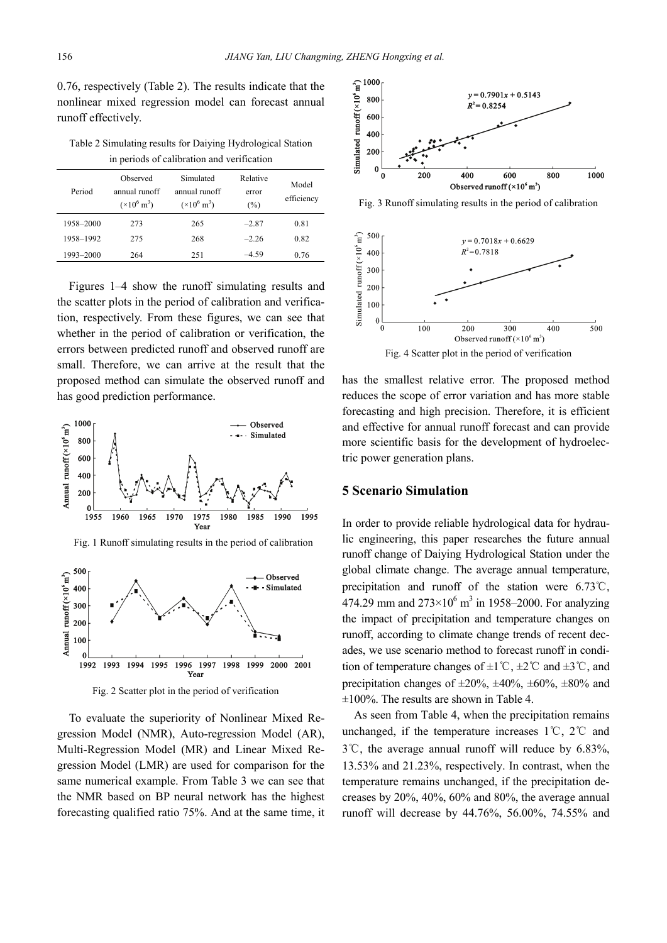0.76, respectively (Table 2). The results indicate that the nonlinear mixed regression model can forecast annual runoff effectively.

Table 2 Simulating results for Daiying Hydrological Station in periods of calibration and verification

| Period    | Observed<br>annual runoff<br>$(\times 10^6 \,\mathrm{m}^3)$ | Simulated<br>annual runoff<br>$(\times 10^6 \,\mathrm{m}^3)$ | Relative<br>error<br>$(\%)$ | Model<br>efficiency |
|-----------|-------------------------------------------------------------|--------------------------------------------------------------|-----------------------------|---------------------|
| 1958-2000 | 273                                                         | 265                                                          | $-2.87$                     | 0.81                |
| 1958-1992 | 275                                                         | 268                                                          | $-2.26$                     | 0.82                |
| 1993–2000 | 264                                                         | 251                                                          | $-4.59$                     | 0.76                |

Figures 1–4 show the runoff simulating results and the scatter plots in the period of calibration and verification, respectively. From these figures, we can see that whether in the period of calibration or verification, the errors between predicted runoff and observed runoff are small. Therefore, we can arrive at the result that the proposed method can simulate the observed runoff and has good prediction performance.



Fig. 2 Scatter plot in the period of verification

 To evaluate the superiority of Nonlinear Mixed Regression Model (NMR), Auto-regression Model (AR), Multi-Regression Model (MR) and Linear Mixed Regression Model (LMR) are used for comparison for the same numerical example. From Table 3 we can see that the NMR based on BP neural network has the highest forecasting qualified ratio 75%. And at the same time, it



Fig. 3 Runoff simulating results in the period of calibration



has the smallest relative error. The proposed method reduces the scope of error variation and has more stable forecasting and high precision. Therefore, it is efficient and effective for annual runoff forecast and can provide more scientific basis for the development of hydroelectric power generation plans.

## **5 Scenario Simulation**

In order to provide reliable hydrological data for hydraulic engineering, this paper researches the future annual runoff change of Daiying Hydrological Station under the global climate change. The average annual temperature, precipitation and runoff of the station were 6.73℃, 474.29 mm and  $273 \times 10^6$  m<sup>3</sup> in 1958–2000. For analyzing the impact of precipitation and temperature changes on runoff, according to climate change trends of recent decades, we use scenario method to forecast runoff in condition of temperature changes of  $\pm 1^{\circ}C$ ,  $\pm 2^{\circ}C$  and  $\pm 3^{\circ}C$ , and precipitation changes of  $\pm 20\%$ ,  $\pm 40\%$ ,  $\pm 60\%$ ,  $\pm 80\%$  and  $\pm 100\%$ . The results are shown in Table 4.

As seen from Table 4, when the precipitation remains unchanged, if the temperature increases 1℃, 2℃ and 3℃, the average annual runoff will reduce by 6.83%, 13.53% and 21.23%, respectively. In contrast, when the temperature remains unchanged, if the precipitation decreases by 20%, 40%, 60% and 80%, the average annual runoff will decrease by 44.76%, 56.00%, 74.55% and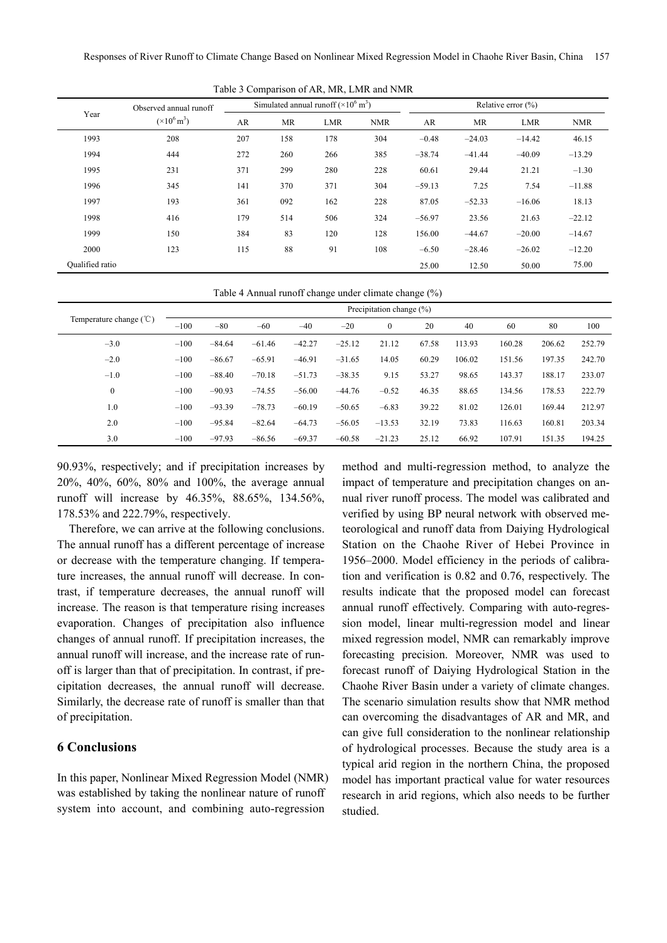Table 3 Comparison of AR, MR, LMR and NMR

| Year            | Observed annual runoff<br>$(\times 10^6 \,\rm m^3)$ | Simulated annual runoff $(\times 10^6 \text{ m}^3)$ |           |            |            | Relative error $(\% )$ |          |            |            |
|-----------------|-----------------------------------------------------|-----------------------------------------------------|-----------|------------|------------|------------------------|----------|------------|------------|
|                 |                                                     | AR                                                  | <b>MR</b> | <b>LMR</b> | <b>NMR</b> | AR                     | MR       | <b>LMR</b> | <b>NMR</b> |
| 1993            | 208                                                 | 207                                                 | 158       | 178        | 304        | $-0.48$                | $-24.03$ | $-14.42$   | 46.15      |
| 1994            | 444                                                 | 272                                                 | 260       | 266        | 385        | $-38.74$               | $-41.44$ | $-40.09$   | $-13.29$   |
| 1995            | 231                                                 | 371                                                 | 299       | 280        | 228        | 60.61                  | 29.44    | 21.21      | $-1.30$    |
| 1996            | 345                                                 | 141                                                 | 370       | 371        | 304        | $-59.13$               | 7.25     | 7.54       | $-11.88$   |
| 1997            | 193                                                 | 361                                                 | 092       | 162        | 228        | 87.05                  | $-52.33$ | $-16.06$   | 18.13      |
| 1998            | 416                                                 | 179                                                 | 514       | 506        | 324        | $-56.97$               | 23.56    | 21.63      | $-22.12$   |
| 1999            | 150                                                 | 384                                                 | 83        | 120        | 128        | 156.00                 | $-44.67$ | $-20.00$   | $-14.67$   |
| 2000            | 123                                                 | 115                                                 | 88        | 91         | 108        | $-6.50$                | $-28.46$ | $-26.02$   | $-12.20$   |
| Qualified ratio |                                                     |                                                     |           |            |            | 25.00                  | 12.50    | 50.00      | 75.00      |

| Table 4 Annual runoff change under climate change (%) |  |  |  |
|-------------------------------------------------------|--|--|--|
|-------------------------------------------------------|--|--|--|

|                                   | Precipitation change $(\% )$ |          |          |          |          |              |       |        |        |        |        |
|-----------------------------------|------------------------------|----------|----------|----------|----------|--------------|-------|--------|--------|--------|--------|
| Temperature change $({\degree}C)$ | $-100$                       | $-80$    | $-60$    | $-40$    | $-20$    | $\mathbf{0}$ | 20    | 40     | 60     | 80     | 100    |
| $-3.0$                            | $-100$                       | $-84.64$ | $-61.46$ | $-42.27$ | $-25.12$ | 21.12        | 67.58 | 113.93 | 160.28 | 206.62 | 252.79 |
| $-2.0$                            | $-100$                       | $-86.67$ | $-65.91$ | $-46.91$ | $-31.65$ | 14.05        | 60.29 | 106.02 | 151.56 | 197.35 | 242.70 |
| $-1.0$                            | $-100$                       | $-88.40$ | $-70.18$ | $-51.73$ | $-38.35$ | 9.15         | 53.27 | 98.65  | 143.37 | 188.17 | 233.07 |
| $\mathbf{0}$                      | $-100$                       | $-90.93$ | $-74.55$ | $-56.00$ | $-44.76$ | $-0.52$      | 46.35 | 88.65  | 134.56 | 178.53 | 222.79 |
| 1.0                               | $-100$                       | $-93.39$ | $-78.73$ | $-60.19$ | $-50.65$ | $-6.83$      | 39.22 | 81.02  | 126.01 | 169.44 | 212.97 |
| 2.0                               | $-100$                       | $-95.84$ | $-82.64$ | $-64.73$ | $-56.05$ | $-13.53$     | 32.19 | 73.83  | 116.63 | 160.81 | 203.34 |
| 3.0                               | $-100$                       | $-97.93$ | $-86.56$ | $-69.37$ | $-60.58$ | $-21.23$     | 25.12 | 66.92  | 107.91 | 151.35 | 194.25 |

90.93%, respectively; and if precipitation increases by 20%, 40%, 60%, 80% and 100%, the average annual runoff will increase by 46.35%, 88.65%, 134.56%, 178.53% and 222.79%, respectively.

Therefore, we can arrive at the following conclusions. The annual runoff has a different percentage of increase or decrease with the temperature changing. If temperature increases, the annual runoff will decrease. In contrast, if temperature decreases, the annual runoff will increase. The reason is that temperature rising increases evaporation. Changes of precipitation also influence changes of annual runoff. If precipitation increases, the annual runoff will increase, and the increase rate of runoff is larger than that of precipitation. In contrast, if precipitation decreases, the annual runoff will decrease. Similarly, the decrease rate of runoff is smaller than that of precipitation.

### **6 Conclusions**

In this paper, Nonlinear Mixed Regression Model (NMR) was established by taking the nonlinear nature of runoff system into account, and combining auto-regression

method and multi-regression method, to analyze the impact of temperature and precipitation changes on annual river runoff process. The model was calibrated and verified by using BP neural network with observed meteorological and runoff data from Daiying Hydrological Station on the Chaohe River of Hebei Province in 1956–2000. Model efficiency in the periods of calibration and verification is 0.82 and 0.76, respectively. The results indicate that the proposed model can forecast annual runoff effectively. Comparing with auto-regression model, linear multi-regression model and linear mixed regression model, NMR can remarkably improve forecasting precision. Moreover, NMR was used to forecast runoff of Daiying Hydrological Station in the Chaohe River Basin under a variety of climate changes. The scenario simulation results show that NMR method can overcoming the disadvantages of AR and MR, and can give full consideration to the nonlinear relationship of hydrological processes. Because the study area is a typical arid region in the northern China, the proposed model has important practical value for water resources research in arid regions, which also needs to be further studied.